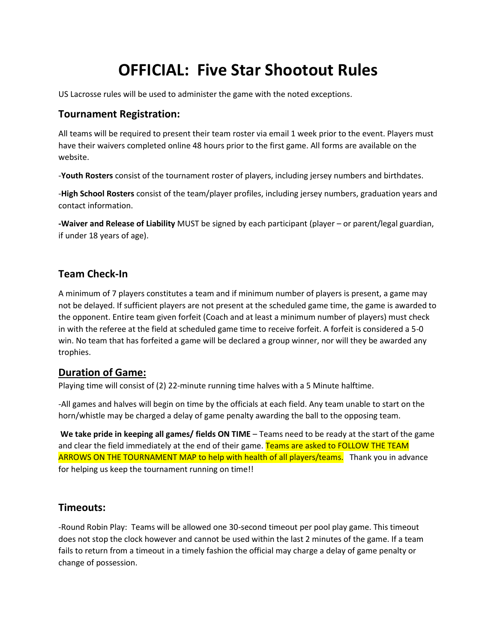# **OFFICIAL: Five Star Shootout Rules**

US Lacrosse rules will be used to administer the game with the noted exceptions.

#### **Tournament Registration:**

All teams will be required to present their team roster via email 1 week prior to the event. Players must have their waivers completed online 48 hours prior to the first game. All forms are available on the website.

-**Youth Rosters** consist of the tournament roster of players, including jersey numbers and birthdates.

-**High School Rosters** consist of the team/player profiles, including jersey numbers, graduation years and contact information.

**-Waiver and Release of Liability** MUST be signed by each participant (player – or parent/legal guardian, if under 18 years of age).

## **Team Check-In**

A minimum of 7 players constitutes a team and if minimum number of players is present, a game may not be delayed. If sufficient players are not present at the scheduled game time, the game is awarded to the opponent. Entire team given forfeit (Coach and at least a minimum number of players) must check in with the referee at the field at scheduled game time to receive forfeit. A forfeit is considered a 5-0 win. No team that has forfeited a game will be declared a group winner, nor will they be awarded any trophies.

#### **Duration of Game:**

Playing time will consist of (2) 22-minute running time halves with a 5 Minute halftime.

-All games and halves will begin on time by the officials at each field. Any team unable to start on the horn/whistle may be charged a delay of game penalty awarding the ball to the opposing team.

**We take pride in keeping all games/ fields ON TIME** – Teams need to be ready at the start of the game and clear the field immediately at the end of their game. Teams are asked to FOLLOW THE TEAM ARROWS ON THE TOURNAMENT MAP to help with health of all players/teams. Thank you in advance for helping us keep the tournament running on time!!

## **Timeouts:**

-Round Robin Play: Teams will be allowed one 30-second timeout per pool play game. This timeout does not stop the clock however and cannot be used within the last 2 minutes of the game. If a team fails to return from a timeout in a timely fashion the official may charge a delay of game penalty or change of possession.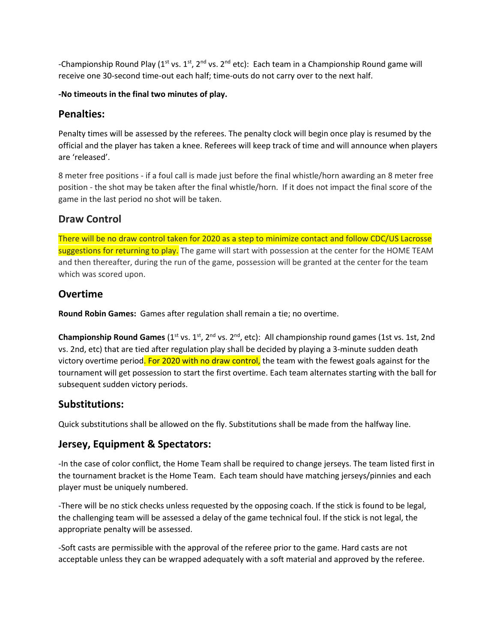-Championship Round Play ( $1^{st}$  vs.  $1^{st}$ ,  $2^{nd}$  vs.  $2^{nd}$  etc): Each team in a Championship Round game will receive one 30-second time-out each half; time-outs do not carry over to the next half.

#### **-No timeouts in the final two minutes of play.**

#### **Penalties:**

Penalty times will be assessed by the referees. The penalty clock will begin once play is resumed by the official and the player has taken a knee. Referees will keep track of time and will announce when players are 'released'.

8 meter free positions - if a foul call is made just before the final whistle/horn awarding an 8 meter free position - the shot may be taken after the final whistle/horn. If it does not impact the final score of the game in the last period no shot will be taken.

## **Draw Control**

There will be no draw control taken for 2020 as a step to minimize contact and follow CDC/US Lacrosse suggestions for returning to play. The game will start with possession at the center for the HOME TEAM and then thereafter, during the run of the game, possession will be granted at the center for the team which was scored upon.

## **Overtime**

**Round Robin Games:** Games after regulation shall remain a tie; no overtime.

**Championship Round Games** (1<sup>st</sup> vs. 1<sup>st</sup>, 2<sup>nd</sup> vs. 2<sup>nd</sup>, etc): All championship round games (1st vs. 1st, 2nd vs. 2nd, etc) that are tied after regulation play shall be decided by playing a 3-minute sudden death victory overtime period. For 2020 with no draw control, the team with the fewest goals against for the tournament will get possession to start the first overtime. Each team alternates starting with the ball for subsequent sudden victory periods.

## **Substitutions:**

Quick substitutions shall be allowed on the fly. Substitutions shall be made from the halfway line.

## **Jersey, Equipment & Spectators:**

-In the case of color conflict, the Home Team shall be required to change jerseys. The team listed first in the tournament bracket is the Home Team. Each team should have matching jerseys/pinnies and each player must be uniquely numbered.

-There will be no stick checks unless requested by the opposing coach. If the stick is found to be legal, the challenging team will be assessed a delay of the game technical foul. If the stick is not legal, the appropriate penalty will be assessed.

-Soft casts are permissible with the approval of the referee prior to the game. Hard casts are not acceptable unless they can be wrapped adequately with a soft material and approved by the referee.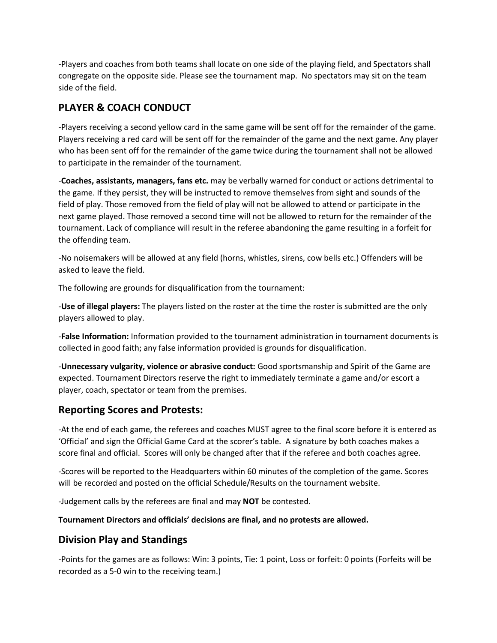-Players and coaches from both teams shall locate on one side of the playing field, and Spectators shall congregate on the opposite side. Please see the tournament map. No spectators may sit on the team side of the field.

# **PLAYER & COACH CONDUCT**

-Players receiving a second yellow card in the same game will be sent off for the remainder of the game. Players receiving a red card will be sent off for the remainder of the game and the next game. Any player who has been sent off for the remainder of the game twice during the tournament shall not be allowed to participate in the remainder of the tournament.

-**Coaches, assistants, managers, fans etc.** may be verbally warned for conduct or actions detrimental to the game. If they persist, they will be instructed to remove themselves from sight and sounds of the field of play. Those removed from the field of play will not be allowed to attend or participate in the next game played. Those removed a second time will not be allowed to return for the remainder of the tournament. Lack of compliance will result in the referee abandoning the game resulting in a forfeit for the offending team.

-No noisemakers will be allowed at any field (horns, whistles, sirens, cow bells etc.) Offenders will be asked to leave the field.

The following are grounds for disqualification from the tournament:

-**Use of illegal players:** The players listed on the roster at the time the roster is submitted are the only players allowed to play.

-**False Information:** Information provided to the tournament administration in tournament documents is collected in good faith; any false information provided is grounds for disqualification.

-**Unnecessary vulgarity, violence or abrasive conduct:** Good sportsmanship and Spirit of the Game are expected. Tournament Directors reserve the right to immediately terminate a game and/or escort a player, coach, spectator or team from the premises.

# **Reporting Scores and Protests:**

-At the end of each game, the referees and coaches MUST agree to the final score before it is entered as 'Official' and sign the Official Game Card at the scorer's table. A signature by both coaches makes a score final and official. Scores will only be changed after that if the referee and both coaches agree.

-Scores will be reported to the Headquarters within 60 minutes of the completion of the game. Scores will be recorded and posted on the official Schedule/Results on the tournament website.

-Judgement calls by the referees are final and may **NOT** be contested.

**Tournament Directors and officials' decisions are final, and no protests are allowed.**

# **Division Play and Standings**

-Points for the games are as follows: Win: 3 points, Tie: 1 point, Loss or forfeit: 0 points (Forfeits will be recorded as a 5-0 win to the receiving team.)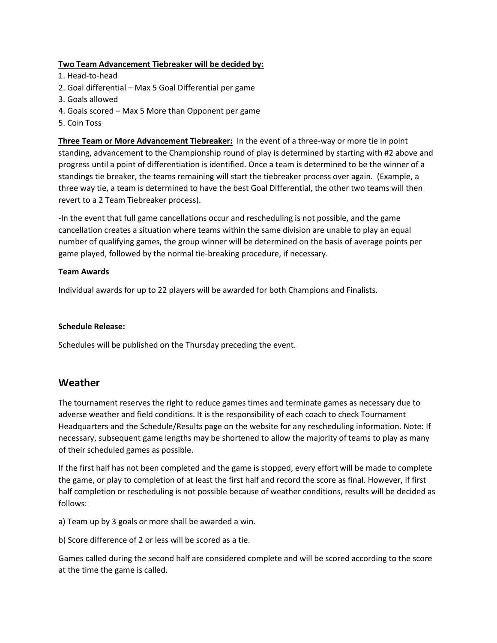#### **Two Team Advancement Tiebreaker will be decided by:**

- 1. Head-to-head
- 2. Goal differential Max 5 Goal Differential per game
- 3. Goals allowed
- 4. Goals scored Max 5 More than Opponent per game
- 5. Coin Toss

**Three Team or More Advancement Tiebreaker:** In the event of a three-way or more tie in point standing, advancement to the Championship round of play is determined by starting with #2 above and progress until a point of differentiation is identified. Once a team is determined to be the winner of a standings tie breaker, the teams remaining will start the tiebreaker process over again. (Example, a three way tie, a team is determined to have the best Goal Differential, the other two teams will then revert to a 2 Team Tiebreaker process).

-In the event that full game cancellations occur and rescheduling is not possible, and the game cancellation creates a situation where teams within the same division are unable to play an equal number of qualifying games, the group winner will be determined on the basis of average points per game played, followed by the normal tie-breaking procedure, if necessary.

#### **Team Awards**

Individual awards for up to 22 players will be awarded for both Champions and Finalists.

#### **Schedule Release:**

Schedules will be published on the Thursday preceding the event.

#### **Weather**

The tournament reserves the right to reduce games times and terminate games as necessary due to adverse weather and field conditions. It is the responsibility of each coach to check Tournament Headquarters and the Schedule/Results page on the website for any rescheduling information. Note: If necessary, subsequent game lengths may be shortened to allow the majority of teams to play as many of their scheduled games as possible.

If the first half has not been completed and the game is stopped, every effort will be made to complete the game, or play to completion of at least the first half and record the score as final. However, if first half completion or rescheduling is not possible because of weather conditions, results will be decided as follows:

a) Team up by 3 goals or more shall be awarded a win.

b) Score difference of 2 or less will be scored as a tie.

Games called during the second half are considered complete and will be scored according to the score at the time the game is called.